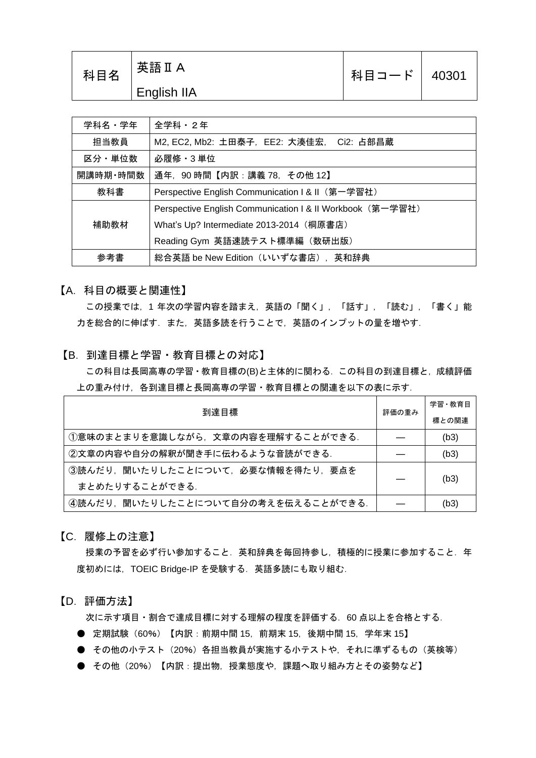| 科目名 | 英語 II A     | 科目コード | 40301 |
|-----|-------------|-------|-------|
|     | English IIA |       |       |

| 学科名・学年   | 全学科・2年                                                    |  |  |
|----------|-----------------------------------------------------------|--|--|
| 担当教員     | M2, EC2, Mb2: 土田泰子, EE2: 大湊佳宏, Ci2: 占部昌蔵                  |  |  |
| 区分・単位数   | 必履修 · 3 単位                                                |  |  |
| 開講時期・時間数 | 通年, 90時間【内訳:講義 78, その他 12】                                |  |  |
| 教科書      | Perspective English Communication   & II (第一学習社)          |  |  |
|          | Perspective English Communication I & II Workbook (第一学習社) |  |  |
| 補助教材     | What's Up? Intermediate 2013-2014 (桐原書店)                  |  |  |
|          | Reading Gym 英語速読テスト標準編 (数研出版)                             |  |  |
| 参考書      | 総合英語 be New Edition(いいずな書店),英和辞典                          |  |  |

【A.科目の概要と関連性】

この授業では、1年次の学習内容を踏まえ、英語の「聞く」,「話す」,「読む」,「書く」能 力を総合的に伸ばす.また、英語多読を行うことで、英語のインプットの量を増やす.

## 【B.到達目標と学習・教育目標との対応】

この科目は長岡高専の学習・教育目標の(B)と主体的に関わる.この科目の到達目標と,成績評価 上の重み付け,各到達目標と長岡高専の学習・教育目標との関連を以下の表に示す.

| 到達目標                                |  | 学習・教育目 |
|-------------------------------------|--|--------|
|                                     |  | 標との関連  |
| ①意味のまとまりを意識しながら,文章の内容を理解することができる.   |  | (b3)   |
| ②文章の内容や自分の解釈が聞き手に伝わるような音読ができる.      |  | (b3)   |
| ③読んだり,聞いたりしたことについて,必要な情報を得たり,要点を    |  | (b3)   |
| まとめたりすることができる.                      |  |        |
| ④読んだり, 聞いたりしたことについて自分の考えを伝えることができる. |  | (b3)   |

【C.履修上の注意】

授業の予習を必ず行い参加すること. 英和辞典を毎回持参し, 積極的に授業に参加すること. 年 度初めには、TOEIC Bridge-IP を受験する. 英語多読にも取り組む.

【D.評価方法】

次に示す項目・割合で達成目標に対する理解の程度を評価する.60 点以上を合格とする.

- 定期試験(60%)【内訳:前期中間 15,前期末 15,後期中間 15,学年末 15】
- その他の小テスト (20%) 各担当教員が実施する小テストや、それに準ずるもの(英検等)
- その他 (20%) 【内訳:提出物, 授業態度や, 課題へ取り組み方とその姿勢など】